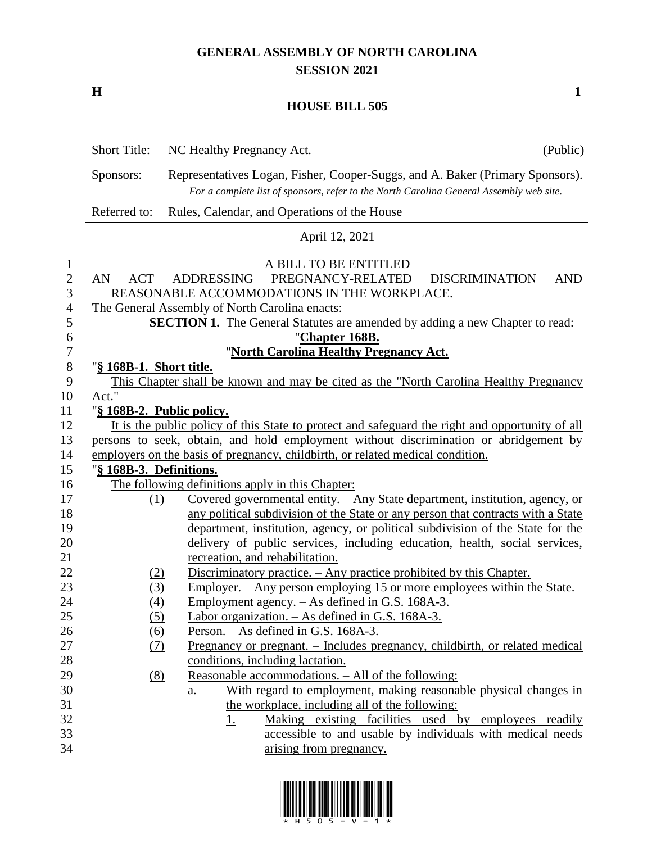## **GENERAL ASSEMBLY OF NORTH CAROLINA SESSION 2021**

**H 1**

## **HOUSE BILL 505**

|                                                               | <b>Short Title:</b>                                                                                                                                                                   | NC Healthy Pregnancy Act.                                                                                                                                                                                                                                                                          | (Public)   |  |  |  |  |  |  |  |
|---------------------------------------------------------------|---------------------------------------------------------------------------------------------------------------------------------------------------------------------------------------|----------------------------------------------------------------------------------------------------------------------------------------------------------------------------------------------------------------------------------------------------------------------------------------------------|------------|--|--|--|--|--|--|--|
|                                                               | Representatives Logan, Fisher, Cooper-Suggs, and A. Baker (Primary Sponsors).<br>Sponsors:<br>For a complete list of sponsors, refer to the North Carolina General Assembly web site. |                                                                                                                                                                                                                                                                                                    |            |  |  |  |  |  |  |  |
|                                                               | Referred to:                                                                                                                                                                          | Rules, Calendar, and Operations of the House                                                                                                                                                                                                                                                       |            |  |  |  |  |  |  |  |
|                                                               |                                                                                                                                                                                       | April 12, 2021                                                                                                                                                                                                                                                                                     |            |  |  |  |  |  |  |  |
| $\mathbf{1}$<br>$\mathbf{2}$<br>3<br>$\overline{4}$<br>5<br>6 | AN<br><b>ACT</b>                                                                                                                                                                      | A BILL TO BE ENTITLED<br>PREGNANCY-RELATED<br><b>DISCRIMINATION</b><br><b>ADDRESSING</b><br>REASONABLE ACCOMMODATIONS IN THE WORKPLACE.<br>The General Assembly of North Carolina enacts:<br><b>SECTION 1.</b> The General Statutes are amended by adding a new Chapter to read:<br>"Chapter 168B. | <b>AND</b> |  |  |  |  |  |  |  |
| 7                                                             |                                                                                                                                                                                       | "North Carolina Healthy Pregnancy Act.                                                                                                                                                                                                                                                             |            |  |  |  |  |  |  |  |
| $8\,$                                                         | "§ 168B-1. Short title.                                                                                                                                                               |                                                                                                                                                                                                                                                                                                    |            |  |  |  |  |  |  |  |
| 9<br>10                                                       | Act."                                                                                                                                                                                 | This Chapter shall be known and may be cited as the "North Carolina Healthy Pregnancy                                                                                                                                                                                                              |            |  |  |  |  |  |  |  |
| 11                                                            | "§ 168B-2. Public policy.                                                                                                                                                             |                                                                                                                                                                                                                                                                                                    |            |  |  |  |  |  |  |  |
| 12                                                            |                                                                                                                                                                                       | It is the public policy of this State to protect and safeguard the right and opportunity of all                                                                                                                                                                                                    |            |  |  |  |  |  |  |  |
| 13                                                            |                                                                                                                                                                                       | persons to seek, obtain, and hold employment without discrimination or abridgement by                                                                                                                                                                                                              |            |  |  |  |  |  |  |  |
| 14                                                            |                                                                                                                                                                                       | employers on the basis of pregnancy, childbirth, or related medical condition.                                                                                                                                                                                                                     |            |  |  |  |  |  |  |  |
| 15                                                            | "§ 168B-3. Definitions.                                                                                                                                                               |                                                                                                                                                                                                                                                                                                    |            |  |  |  |  |  |  |  |
| 16                                                            |                                                                                                                                                                                       | The following definitions apply in this Chapter:                                                                                                                                                                                                                                                   |            |  |  |  |  |  |  |  |
| 17                                                            | (1)                                                                                                                                                                                   | <u>Covered governmental entity. – Any State department, institution, agency, or</u>                                                                                                                                                                                                                |            |  |  |  |  |  |  |  |
| 18                                                            |                                                                                                                                                                                       | any political subdivision of the State or any person that contracts with a State                                                                                                                                                                                                                   |            |  |  |  |  |  |  |  |
| 19                                                            |                                                                                                                                                                                       | department, institution, agency, or political subdivision of the State for the                                                                                                                                                                                                                     |            |  |  |  |  |  |  |  |
| 20<br>21                                                      |                                                                                                                                                                                       | delivery of public services, including education, health, social services,<br>recreation, and rehabilitation.                                                                                                                                                                                      |            |  |  |  |  |  |  |  |
| 22                                                            |                                                                                                                                                                                       | Discriminatory practice. - Any practice prohibited by this Chapter.                                                                                                                                                                                                                                |            |  |  |  |  |  |  |  |
| 23                                                            | <u>(2)</u><br>(3)                                                                                                                                                                     | <u>Employer. – Any person employing 15 or more employees within the State.</u>                                                                                                                                                                                                                     |            |  |  |  |  |  |  |  |
| 24                                                            | (4)                                                                                                                                                                                   | <u>Employment agency. – As defined in G.S. 168A-3.</u>                                                                                                                                                                                                                                             |            |  |  |  |  |  |  |  |
| 25                                                            | (5)                                                                                                                                                                                   | Labor organization. - As defined in G.S. 168A-3.                                                                                                                                                                                                                                                   |            |  |  |  |  |  |  |  |
| 26                                                            | (6)                                                                                                                                                                                   | Person. – As defined in G.S. 168A-3.                                                                                                                                                                                                                                                               |            |  |  |  |  |  |  |  |
| 27                                                            | (7)                                                                                                                                                                                   | Pregnancy or pregnant. - Includes pregnancy, childbirth, or related medical                                                                                                                                                                                                                        |            |  |  |  |  |  |  |  |
| 28                                                            |                                                                                                                                                                                       | conditions, including lactation.                                                                                                                                                                                                                                                                   |            |  |  |  |  |  |  |  |
| 29                                                            | (8)                                                                                                                                                                                   | Reasonable accommodations. - All of the following:                                                                                                                                                                                                                                                 |            |  |  |  |  |  |  |  |
| 30                                                            |                                                                                                                                                                                       | With regard to employment, making reasonable physical changes in<br>$\underline{a}$ .                                                                                                                                                                                                              |            |  |  |  |  |  |  |  |
| 31                                                            |                                                                                                                                                                                       | the workplace, including all of the following:                                                                                                                                                                                                                                                     |            |  |  |  |  |  |  |  |
| 32                                                            |                                                                                                                                                                                       | Making existing facilities used by employees readily<br><u>1.</u>                                                                                                                                                                                                                                  |            |  |  |  |  |  |  |  |
| 33                                                            |                                                                                                                                                                                       | accessible to and usable by individuals with medical needs                                                                                                                                                                                                                                         |            |  |  |  |  |  |  |  |
| 34                                                            |                                                                                                                                                                                       | arising from pregnancy.                                                                                                                                                                                                                                                                            |            |  |  |  |  |  |  |  |

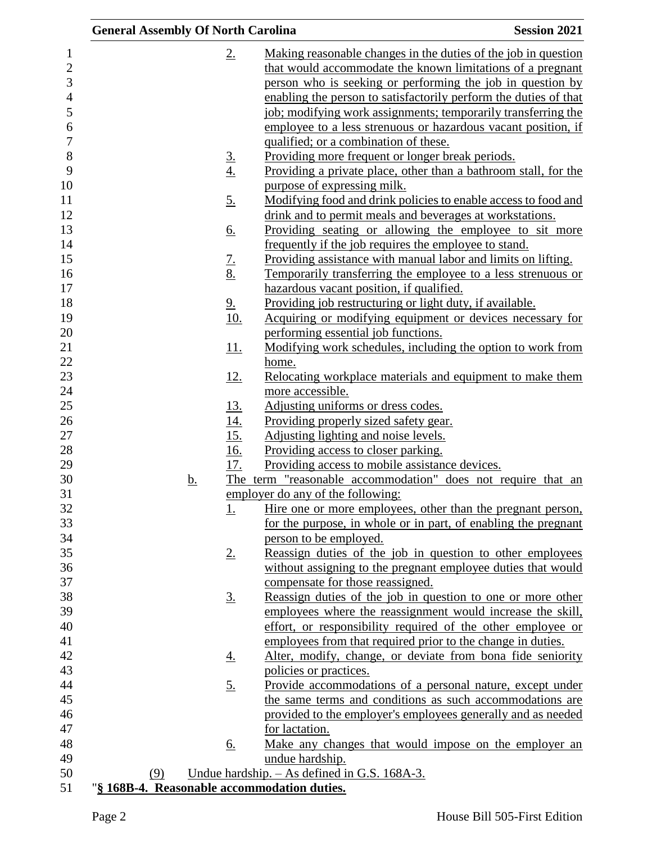| <b>General Assembly Of North Carolina</b>   |                   | <b>Session 2021</b>                                              |
|---------------------------------------------|-------------------|------------------------------------------------------------------|
|                                             | 2.                | Making reasonable changes in the duties of the job in question   |
|                                             |                   | that would accommodate the known limitations of a pregnant       |
|                                             |                   | person who is seeking or performing the job in question by       |
|                                             |                   | enabling the person to satisfactorily perform the duties of that |
|                                             |                   | job; modifying work assignments; temporarily transferring the    |
|                                             |                   | employee to a less strenuous or hazardous vacant position, if    |
|                                             |                   | qualified; or a combination of these.                            |
|                                             | <u>3.</u>         | Providing more frequent or longer break periods.                 |
|                                             | $\underline{4.}$  | Providing a private place, other than a bathroom stall, for the  |
|                                             |                   | purpose of expressing milk.                                      |
|                                             | <u>5.</u>         | Modifying food and drink policies to enable access to food and   |
|                                             |                   | drink and to permit meals and beverages at workstations.         |
|                                             | <u>6.</u>         | Providing seating or allowing the employee to sit more           |
|                                             |                   | frequently if the job requires the employee to stand.            |
|                                             | $\underline{7}$ . | Providing assistance with manual labor and limits on lifting.    |
|                                             | <u>8.</u>         | Temporarily transferring the employee to a less strenuous or     |
|                                             |                   | hazardous vacant position, if qualified.                         |
|                                             | 9 <sub>1</sub>    | Providing job restructuring or light duty, if available.         |
|                                             | <u>10.</u>        | Acquiring or modifying equipment or devices necessary for        |
|                                             |                   | performing essential job functions.                              |
|                                             | <u>11.</u>        | Modifying work schedules, including the option to work from      |
|                                             |                   | home.                                                            |
|                                             | <u>12.</u>        | Relocating workplace materials and equipment to make them        |
|                                             |                   | more accessible.                                                 |
|                                             | <u>13.</u>        | Adjusting uniforms or dress codes.                               |
|                                             |                   | Providing properly sized safety gear.                            |
|                                             | $\frac{14}{15}$   | Adjusting lighting and noise levels.                             |
|                                             | 16.               | Providing access to closer parking.                              |
|                                             | 17.               | Providing access to mobile assistance devices.                   |
| <u>b.</u>                                   |                   | The term "reasonable accommodation" does not require that an     |
|                                             |                   | employer do any of the following:                                |
|                                             | <u>1.</u>         | Hire one or more employees, other than the pregnant person,      |
|                                             |                   | for the purpose, in whole or in part, of enabling the pregnant   |
|                                             |                   | person to be employed.                                           |
|                                             | 2.                | Reassign duties of the job in question to other employees        |
|                                             |                   | without assigning to the pregnant employee duties that would     |
|                                             |                   | compensate for those reassigned.                                 |
|                                             | <u>3.</u>         | Reassign duties of the job in question to one or more other      |
|                                             |                   | employees where the reassignment would increase the skill,       |
|                                             |                   | effort, or responsibility required of the other employee or      |
|                                             |                   | employees from that required prior to the change in duties.      |
|                                             | <u>4.</u>         | Alter, modify, change, or deviate from bona fide seniority       |
|                                             |                   | policies or practices.                                           |
|                                             | <u>5.</u>         | Provide accommodations of a personal nature, except under        |
|                                             |                   | the same terms and conditions as such accommodations are         |
|                                             |                   | provided to the employer's employees generally and as needed     |
|                                             |                   | for lactation.                                                   |
|                                             | <u>6.</u>         | Make any changes that would impose on the employer an            |
| (9)                                         |                   | undue hardship.<br>Undue hardship. - As defined in G.S. 168A-3.  |
| "§ 168B-4. Reasonable accommodation duties. |                   |                                                                  |
|                                             |                   |                                                                  |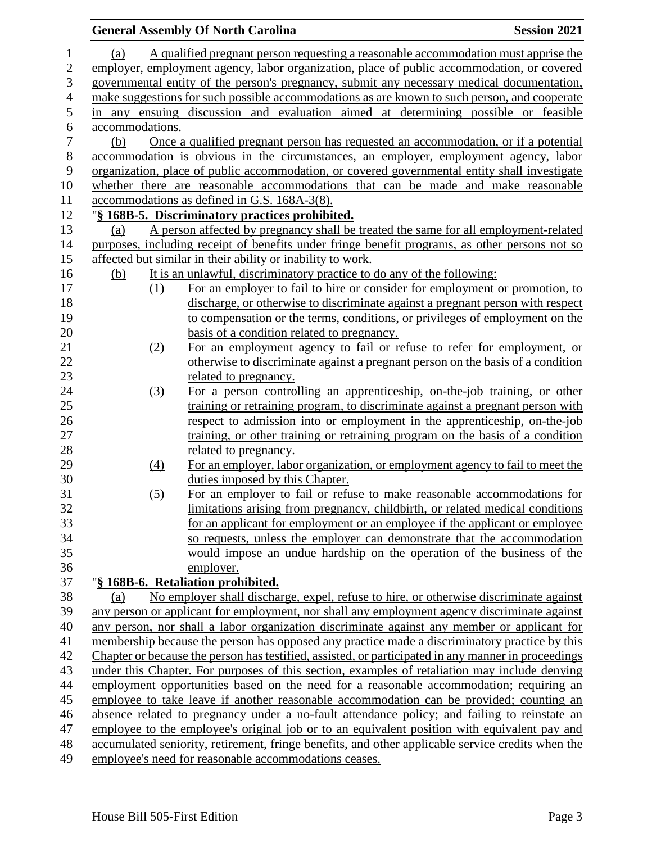|                                                                                              | <b>General Assembly Of North Carolina</b>                                                           | <b>Session 2021</b> |  |  |  |
|----------------------------------------------------------------------------------------------|-----------------------------------------------------------------------------------------------------|---------------------|--|--|--|
| (a)                                                                                          | A qualified pregnant person requesting a reasonable accommodation must apprise the                  |                     |  |  |  |
|                                                                                              | employer, employment agency, labor organization, place of public accommodation, or covered          |                     |  |  |  |
|                                                                                              | governmental entity of the person's pregnancy, submit any necessary medical documentation,          |                     |  |  |  |
|                                                                                              | make suggestions for such possible accommodations as are known to such person, and cooperate        |                     |  |  |  |
|                                                                                              | in any ensuing discussion and evaluation aimed at determining possible or feasible                  |                     |  |  |  |
| accommodations.                                                                              |                                                                                                     |                     |  |  |  |
| (b)                                                                                          | Once a qualified pregnant person has requested an accommodation, or if a potential                  |                     |  |  |  |
|                                                                                              | accommodation is obvious in the circumstances, an employer, employment agency, labor                |                     |  |  |  |
|                                                                                              | organization, place of public accommodation, or covered governmental entity shall investigate       |                     |  |  |  |
|                                                                                              | whether there are reasonable accommodations that can be made and make reasonable                    |                     |  |  |  |
|                                                                                              | accommodations as defined in G.S. 168A-3(8).                                                        |                     |  |  |  |
|                                                                                              | "§ 168B-5. Discriminatory practices prohibited.                                                     |                     |  |  |  |
| (a)                                                                                          | A person affected by pregnancy shall be treated the same for all employment-related                 |                     |  |  |  |
|                                                                                              | purposes, including receipt of benefits under fringe benefit programs, as other persons not so      |                     |  |  |  |
|                                                                                              | affected but similar in their ability or inability to work.                                         |                     |  |  |  |
| <u>(b)</u>                                                                                   | It is an unlawful, discriminatory practice to do any of the following:                              |                     |  |  |  |
| (1)                                                                                          | For an employer to fail to hire or consider for employment or promotion, to                         |                     |  |  |  |
|                                                                                              | discharge, or otherwise to discriminate against a pregnant person with respect                      |                     |  |  |  |
|                                                                                              | to compensation or the terms, conditions, or privileges of employment on the                        |                     |  |  |  |
|                                                                                              | basis of a condition related to pregnancy.                                                          |                     |  |  |  |
| (2)                                                                                          | For an employment agency to fail or refuse to refer for employment, or                              |                     |  |  |  |
|                                                                                              | otherwise to discriminate against a pregnant person on the basis of a condition                     |                     |  |  |  |
|                                                                                              | related to pregnancy.                                                                               |                     |  |  |  |
| (3)                                                                                          | For a person controlling an apprenticeship, on-the-job training, or other                           |                     |  |  |  |
|                                                                                              | training or retraining program, to discriminate against a pregnant person with                      |                     |  |  |  |
|                                                                                              | respect to admission into or employment in the apprenticeship, on-the-job                           |                     |  |  |  |
|                                                                                              | training, or other training or retraining program on the basis of a condition                       |                     |  |  |  |
|                                                                                              | related to pregnancy.                                                                               |                     |  |  |  |
| (4)                                                                                          | For an employer, labor organization, or employment agency to fail to meet the                       |                     |  |  |  |
|                                                                                              | duties imposed by this Chapter.                                                                     |                     |  |  |  |
| (5)                                                                                          | For an employer to fail or refuse to make reasonable accommodations for                             |                     |  |  |  |
|                                                                                              | limitations arising from pregnancy, childbirth, or related medical conditions                       |                     |  |  |  |
|                                                                                              | for an applicant for employment or an employee if the applicant or employee                         |                     |  |  |  |
|                                                                                              | so requests, unless the employer can demonstrate that the accommodation                             |                     |  |  |  |
|                                                                                              | would impose an undue hardship on the operation of the business of the                              |                     |  |  |  |
|                                                                                              | employer.                                                                                           |                     |  |  |  |
|                                                                                              | "§ 168B-6. Retaliation prohibited.                                                                  |                     |  |  |  |
| (a)                                                                                          | No employer shall discharge, expel, refuse to hire, or otherwise discriminate against               |                     |  |  |  |
|                                                                                              | any person or applicant for employment, nor shall any employment agency discriminate against        |                     |  |  |  |
|                                                                                              | any person, nor shall a labor organization discriminate against any member or applicant for         |                     |  |  |  |
|                                                                                              | membership because the person has opposed any practice made a discriminatory practice by this       |                     |  |  |  |
|                                                                                              | Chapter or because the person has testified, assisted, or participated in any manner in proceedings |                     |  |  |  |
|                                                                                              | under this Chapter. For purposes of this section, examples of retaliation may include denying       |                     |  |  |  |
|                                                                                              | employment opportunities based on the need for a reasonable accommodation; requiring an             |                     |  |  |  |
|                                                                                              | employee to take leave if another reasonable accommodation can be provided; counting an             |                     |  |  |  |
|                                                                                              | absence related to pregnancy under a no-fault attendance policy; and failing to reinstate an        |                     |  |  |  |
| employee to the employee's original job or to an equivalent position with equivalent pay and |                                                                                                     |                     |  |  |  |
|                                                                                              | accumulated seniority, retirement, fringe benefits, and other applicable service credits when the   |                     |  |  |  |
|                                                                                              | employee's need for reasonable accommodations ceases.                                               |                     |  |  |  |
|                                                                                              |                                                                                                     |                     |  |  |  |